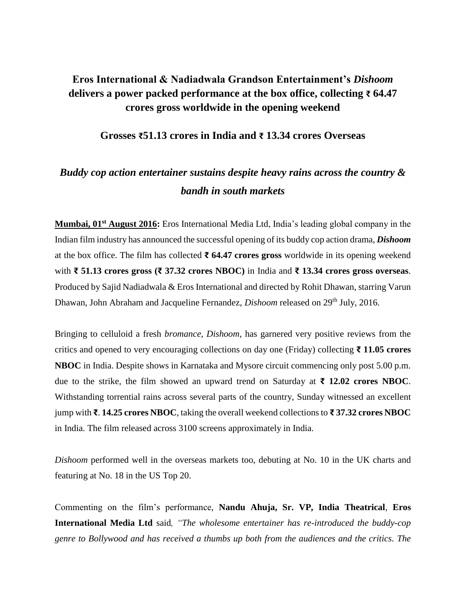## **Eros International & Nadiadwala Grandson Entertainment's** *Dishoom* **delivers a power packed performance at the box office, collecting ₹ 64.47 crores gross worldwide in the opening weekend**

### **Grosses ₹51.13 crores in India and ₹ 13.34 crores Overseas**

# *Buddy cop action entertainer sustains despite heavy rains across the country & bandh in south markets*

**Mumbai, 01st August 2016:** Eros International Media Ltd, India's leading global company in the Indian film industry has announced the successful opening of its buddy cop action drama, *Dishoom* at the box office. The film has collected **₹ 64.47 crores gross** worldwide in its opening weekend with **₹ 51.13 crores gross (₹ 37.32 crores NBOC)** in India and **₹ 13.34 crores gross overseas**. Produced by Sajid Nadiadwala & Eros International and directed by Rohit Dhawan, starring Varun Dhawan, John Abraham and Jacqueline Fernandez, *Dishoom* released on 29<sup>th</sup> July, 2016.

Bringing to celluloid a fresh *bromance*, *Dishoom*, has garnered very positive reviews from the critics and opened to very encouraging collections on day one (Friday) collecting **₹ 11.05 crores NBOC** in India. Despite shows in Karnataka and Mysore circuit commencing only post 5.00 p.m. due to the strike, the film showed an upward trend on Saturday at **₹ 12.02 crores NBOC**. Withstanding torrential rains across several parts of the country, Sunday witnessed an excellent jump with **₹**. **14.25 crores NBOC**, taking the overall weekend collections to **₹ 37.32 crores NBOC**  in India. The film released across 3100 screens approximately in India.

*Dishoom* performed well in the overseas markets too, debuting at No. 10 in the UK charts and featuring at No. 18 in the US Top 20.

Commenting on the film's performance, **Nandu Ahuja, Sr. VP, India Theatrical**, **Eros International Media Ltd** said*, "The wholesome entertainer has re-introduced the buddy-cop genre to Bollywood and has received a thumbs up both from the audiences and the critics. The*